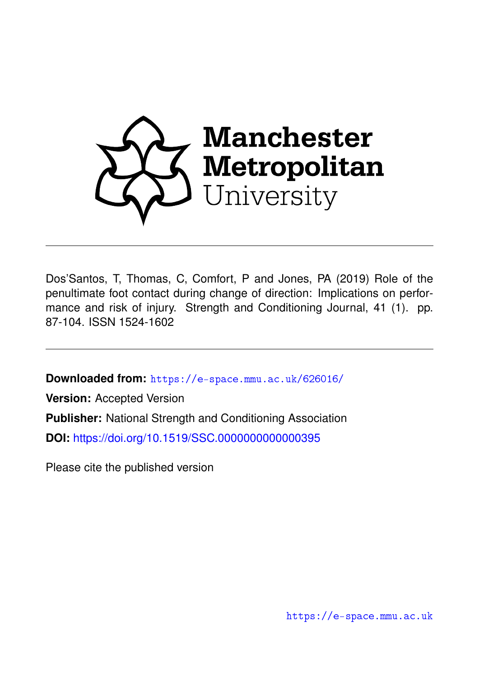

Dos'Santos, T, Thomas, C, Comfort, P and Jones, PA (2019) Role of the penultimate foot contact during change of direction: Implications on performance and risk of injury. Strength and Conditioning Journal, 41 (1). pp. 87-104. ISSN 1524-1602

**Downloaded from:** <https://e-space.mmu.ac.uk/626016/>

**Version:** Accepted Version **Publisher:** National Strength and Conditioning Association **DOI:** <https://doi.org/10.1519/SSC.0000000000000395>

Please cite the published version

<https://e-space.mmu.ac.uk>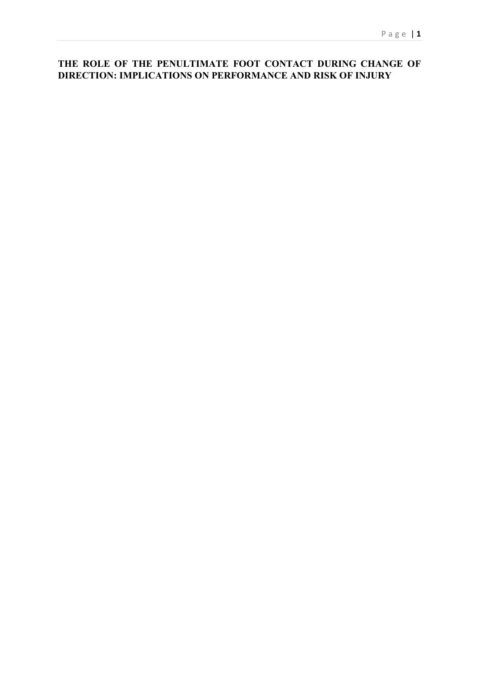# **THE ROLE OF THE PENULTIMATE FOOT CONTACT DURING CHANGE OF DIRECTION: IMPLICATIONS ON PERFORMANCE AND RISK OF INJURY**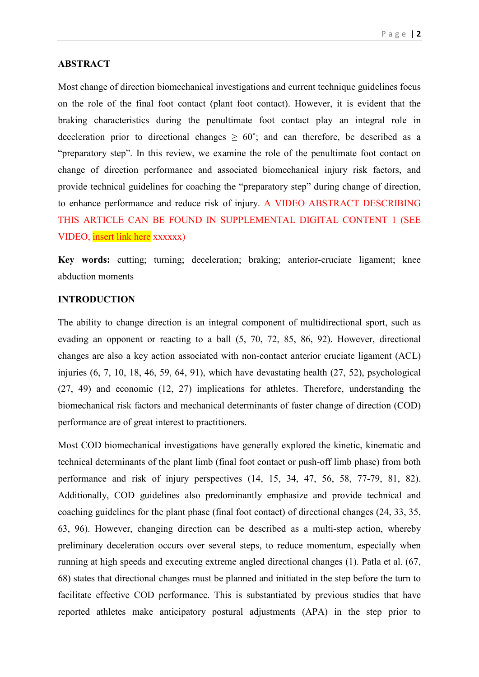## **ABSTRACT**

Most change of direction biomechanical investigations and current technique guidelines focus on the role of the final foot contact (plant foot contact). However, it is evident that the braking characteristics during the penultimate foot contact play an integral role in deceleration prior to directional changes  $\geq 60^{\circ}$ ; and can therefore, be described as a "preparatory step". In this review, we examine the role of the penultimate foot contact on change of direction performance and associated biomechanical injury risk factors, and provide technical guidelines for coaching the "preparatory step" during change of direction, to enhance performance and reduce risk of injury. A VIDEO ABSTRACT DESCRIBING THIS ARTICLE CAN BE FOUND IN SUPPLEMENTAL DIGITAL CONTENT 1 (SEE VIDEO, insert link here xxxxxx)

**Key words:** cutting; turning; deceleration; braking; anterior-cruciate ligament; knee abduction moments

# **INTRODUCTION**

The ability to change direction is an integral component of multidirectional sport, such as evading an opponent or reacting to a ball (5, 70, 72, 85, 86, 92). However, directional changes are also a key action associated with non-contact anterior cruciate ligament (ACL) injuries (6, 7, 10, 18, 46, 59, 64, 91), which have devastating health (27, 52), psychological (27, 49) and economic (12, 27) implications for athletes. Therefore, understanding the biomechanical risk factors and mechanical determinants of faster change of direction (COD) performance are of great interest to practitioners.

Most COD biomechanical investigations have generally explored the kinetic, kinematic and technical determinants of the plant limb (final foot contact or push-off limb phase) from both performance and risk of injury perspectives (14, 15, 34, 47, 56, 58, 77-79, 81, 82). Additionally, COD guidelines also predominantly emphasize and provide technical and coaching guidelines for the plant phase (final foot contact) of directional changes (24, 33, 35, 63, 96). However, changing direction can be described as a multi-step action, whereby preliminary deceleration occurs over several steps, to reduce momentum, especially when running at high speeds and executing extreme angled directional changes (1). Patla et al. (67, 68) states that directional changes must be planned and initiated in the step before the turn to facilitate effective COD performance. This is substantiated by previous studies that have reported athletes make anticipatory postural adjustments (APA) in the step prior to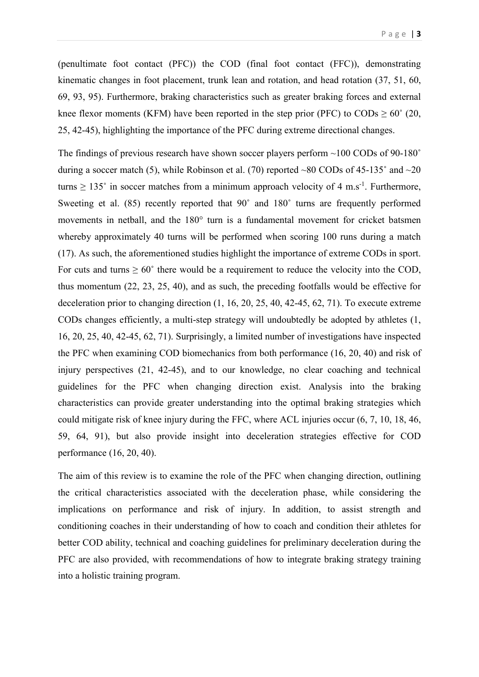(penultimate foot contact (PFC)) the COD (final foot contact (FFC)), demonstrating kinematic changes in foot placement, trunk lean and rotation, and head rotation (37, 51, 60, 69, 93, 95). Furthermore, braking characteristics such as greater braking forces and external knee flexor moments (KFM) have been reported in the step prior (PFC) to  $\text{CODs} \geq 60^{\circ}$  (20, 25, 42-45), highlighting the importance of the PFC during extreme directional changes.

The findings of previous research have shown soccer players perform ~100 CODs of 90-180° during a soccer match (5), while Robinson et al. (70) reported ~80 CODs of  $45-135^\circ$  and ~20 turns  $\geq 135^{\circ}$  in soccer matches from a minimum approach velocity of 4 m.s<sup>-1</sup>. Furthermore, Sweeting et al. (85) recently reported that 90° and 180° turns are frequently performed movements in netball, and the 180° turn is a fundamental movement for cricket batsmen whereby approximately 40 turns will be performed when scoring 100 runs during a match (17). As such, the aforementioned studies highlight the importance of extreme CODs in sport. For cuts and turns  $\geq 60^{\circ}$  there would be a requirement to reduce the velocity into the COD, thus momentum (22, 23, 25, 40), and as such, the preceding footfalls would be effective for deceleration prior to changing direction (1, 16, 20, 25, 40, 42-45, 62, 71). To execute extreme CODs changes efficiently, a multi-step strategy will undoubtedly be adopted by athletes (1, 16, 20, 25, 40, 42-45, 62, 71). Surprisingly, a limited number of investigations have inspected the PFC when examining COD biomechanics from both performance (16, 20, 40) and risk of injury perspectives (21, 42-45), and to our knowledge, no clear coaching and technical guidelines for the PFC when changing direction exist. Analysis into the braking characteristics can provide greater understanding into the optimal braking strategies which could mitigate risk of knee injury during the FFC, where ACL injuries occur (6, 7, 10, 18, 46, 59, 64, 91), but also provide insight into deceleration strategies effective for COD performance (16, 20, 40).

The aim of this review is to examine the role of the PFC when changing direction, outlining the critical characteristics associated with the deceleration phase, while considering the implications on performance and risk of injury. In addition, to assist strength and conditioning coaches in their understanding of how to coach and condition their athletes for better COD ability, technical and coaching guidelines for preliminary deceleration during the PFC are also provided, with recommendations of how to integrate braking strategy training into a holistic training program.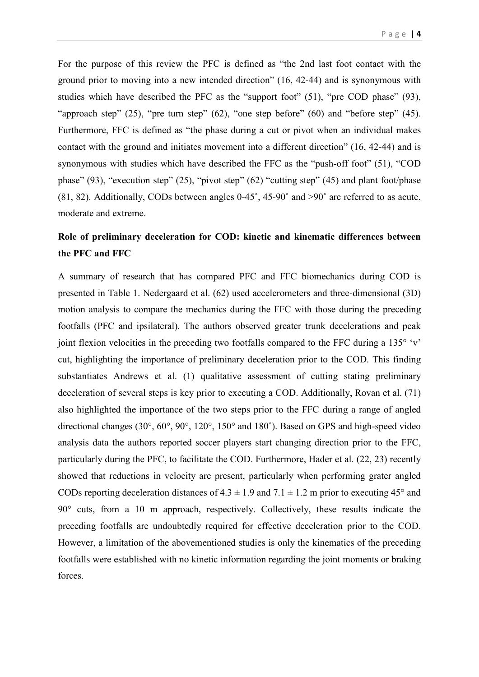For the purpose of this review the PFC is defined as "the 2nd last foot contact with the ground prior to moving into a new intended direction" (16, 42-44) and is synonymous with studies which have described the PFC as the "support foot" (51), "pre COD phase" (93), "approach step" (25), "pre turn step" (62), "one step before" (60) and "before step" (45). Furthermore, FFC is defined as "the phase during a cut or pivot when an individual makes contact with the ground and initiates movement into a different direction" (16, 42-44) and is synonymous with studies which have described the FFC as the "push-off foot" (51), "COD phase" (93), "execution step" (25), "pivot step" (62) "cutting step" (45) and plant foot/phase (81, 82). Additionally, CODs between angles 0-45˚, 45-90˚ and >90˚ are referred to as acute, moderate and extreme.

# **Role of preliminary deceleration for COD: kinetic and kinematic differences between the PFC and FFC**

A summary of research that has compared PFC and FFC biomechanics during COD is presented in Table 1. Nedergaard et al. (62) used accelerometers and three-dimensional (3D) motion analysis to compare the mechanics during the FFC with those during the preceding footfalls (PFC and ipsilateral). The authors observed greater trunk decelerations and peak joint flexion velocities in the preceding two footfalls compared to the FFC during a  $135^{\circ}$  'v' cut, highlighting the importance of preliminary deceleration prior to the COD. This finding substantiates Andrews et al. (1) qualitative assessment of cutting stating preliminary deceleration of several steps is key prior to executing a COD. Additionally, Rovan et al. (71) also highlighted the importance of the two steps prior to the FFC during a range of angled directional changes (30°, 60°, 90°, 120°, 150° and 180˚). Based on GPS and high-speed video analysis data the authors reported soccer players start changing direction prior to the FFC, particularly during the PFC, to facilitate the COD. Furthermore, Hader et al. (22, 23) recently showed that reductions in velocity are present, particularly when performing grater angled CODs reporting deceleration distances of  $4.3 \pm 1.9$  and  $7.1 \pm 1.2$  m prior to executing  $45^{\circ}$  and 90° cuts, from a 10 m approach, respectively. Collectively, these results indicate the preceding footfalls are undoubtedly required for effective deceleration prior to the COD. However, a limitation of the abovementioned studies is only the kinematics of the preceding footfalls were established with no kinetic information regarding the joint moments or braking forces.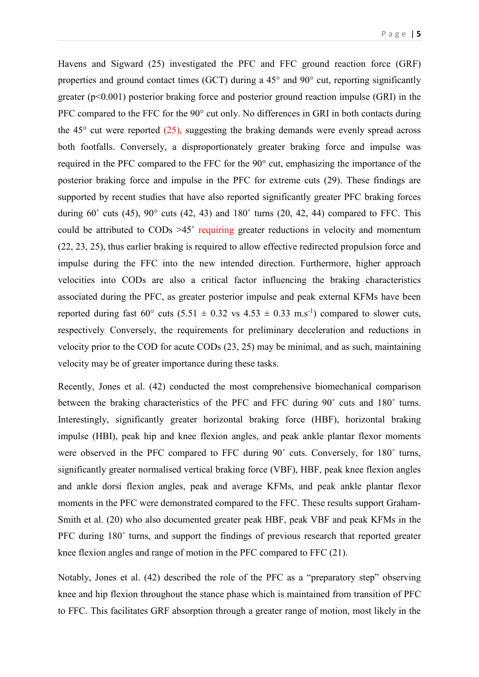Havens and Sigward (25) investigated the PFC and FFC ground reaction force (GRF) properties and ground contact times (GCT) during a 45° and 90° cut, reporting significantly greater (p<0.001) posterior braking force and posterior ground reaction impulse (GRI) in the PFC compared to the FFC for the 90° cut only. No differences in GRI in both contacts during the  $45^{\circ}$  cut were reported  $(25)$ , suggesting the braking demands were evenly spread across both footfalls. Conversely, a disproportionately greater braking force and impulse was required in the PFC compared to the FFC for the 90° cut, emphasizing the importance of the posterior braking force and impulse in the PFC for extreme cuts (29). These findings are supported by recent studies that have also reported significantly greater PFC braking forces during  $60^\circ$  cuts (45),  $90^\circ$  cuts (42, 43) and  $180^\circ$  turns (20, 42, 44) compared to FFC. This could be attributed to CODs >45˚ requiring greater reductions in velocity and momentum (22, 23, 25), thus earlier braking is required to allow effective redirected propulsion force and impulse during the FFC into the new intended direction. Furthermore, higher approach velocities into CODs are also a critical factor influencing the braking characteristics associated during the PFC, as greater posterior impulse and peak external KFMs have been reported during fast 60° cuts  $(5.51 \pm 0.32 \text{ vs } 4.53 \pm 0.33 \text{ m.s}^{-1})$  compared to slower cuts, respectively. Conversely, the requirements for preliminary deceleration and reductions in velocity prior to the COD for acute CODs (23, 25) may be minimal, and as such, maintaining velocity may be of greater importance during these tasks.

Recently, Jones et al. (42) conducted the most comprehensive biomechanical comparison between the braking characteristics of the PFC and FFC during 90˚ cuts and 180˚ turns. Interestingly, significantly greater horizontal braking force (HBF), horizontal braking impulse (HBI), peak hip and knee flexion angles, and peak ankle plantar flexor moments were observed in the PFC compared to FFC during 90˚ cuts. Conversely, for 180˚ turns, significantly greater normalised vertical braking force (VBF), HBF, peak knee flexion angles and ankle dorsi flexion angles, peak and average KFMs, and peak ankle plantar flexor moments in the PFC were demonstrated compared to the FFC. These results support Graham-Smith et al. (20) who also documented greater peak HBF, peak VBF and peak KFMs in the PFC during 180˚ turns, and support the findings of previous research that reported greater knee flexion angles and range of motion in the PFC compared to FFC (21).

Notably, Jones et al. (42) described the role of the PFC as a "preparatory step" observing knee and hip flexion throughout the stance phase which is maintained from transition of PFC to FFC. This facilitates GRF absorption through a greater range of motion, most likely in the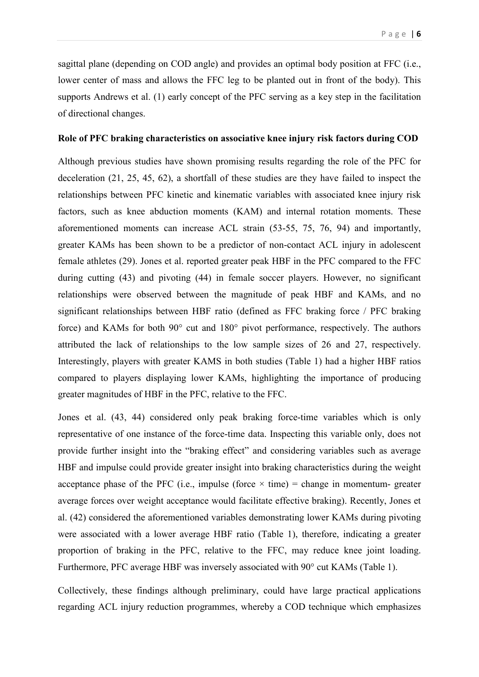sagittal plane (depending on COD angle) and provides an optimal body position at FFC (i.e., lower center of mass and allows the FFC leg to be planted out in front of the body). This supports Andrews et al. (1) early concept of the PFC serving as a key step in the facilitation of directional changes.

## **Role of PFC braking characteristics on associative knee injury risk factors during COD**

Although previous studies have shown promising results regarding the role of the PFC for deceleration (21, 25, 45, 62), a shortfall of these studies are they have failed to inspect the relationships between PFC kinetic and kinematic variables with associated knee injury risk factors, such as knee abduction moments (KAM) and internal rotation moments. These aforementioned moments can increase ACL strain (53-55, 75, 76, 94) and importantly, greater KAMs has been shown to be a predictor of non-contact ACL injury in adolescent female athletes (29). Jones et al. reported greater peak HBF in the PFC compared to the FFC during cutting (43) and pivoting (44) in female soccer players. However, no significant relationships were observed between the magnitude of peak HBF and KAMs, and no significant relationships between HBF ratio (defined as FFC braking force / PFC braking force) and KAMs for both 90° cut and 180° pivot performance, respectively. The authors attributed the lack of relationships to the low sample sizes of 26 and 27, respectively. Interestingly, players with greater KAMS in both studies (Table 1) had a higher HBF ratios compared to players displaying lower KAMs, highlighting the importance of producing greater magnitudes of HBF in the PFC, relative to the FFC.

Jones et al. (43, 44) considered only peak braking force-time variables which is only representative of one instance of the force-time data. Inspecting this variable only, does not provide further insight into the "braking effect" and considering variables such as average HBF and impulse could provide greater insight into braking characteristics during the weight acceptance phase of the PFC (i.e., impulse (force  $\times$  time) = change in momentum- greater average forces over weight acceptance would facilitate effective braking). Recently, Jones et al. (42) considered the aforementioned variables demonstrating lower KAMs during pivoting were associated with a lower average HBF ratio (Table 1), therefore, indicating a greater proportion of braking in the PFC, relative to the FFC, may reduce knee joint loading. Furthermore, PFC average HBF was inversely associated with 90° cut KAMs (Table 1).

Collectively, these findings although preliminary, could have large practical applications regarding ACL injury reduction programmes, whereby a COD technique which emphasizes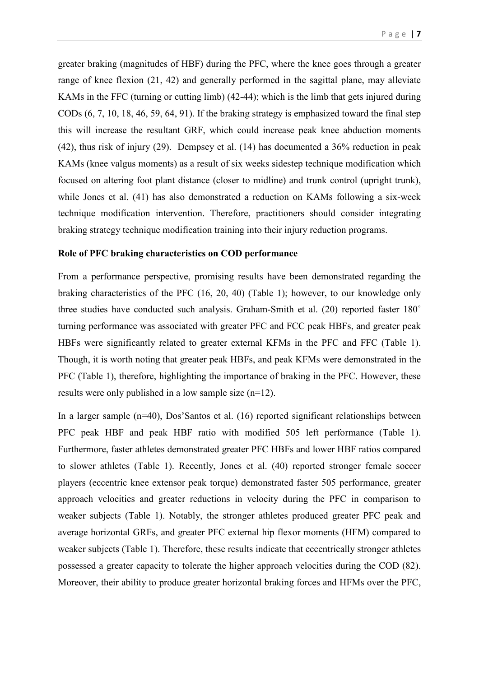greater braking (magnitudes of HBF) during the PFC, where the knee goes through a greater range of knee flexion (21, 42) and generally performed in the sagittal plane, may alleviate KAMs in the FFC (turning or cutting limb) (42-44); which is the limb that gets injured during CODs (6, 7, 10, 18, 46, 59, 64, 91). If the braking strategy is emphasized toward the final step this will increase the resultant GRF, which could increase peak knee abduction moments (42), thus risk of injury (29). Dempsey et al. (14) has documented a 36% reduction in peak KAMs (knee valgus moments) as a result of six weeks sidestep technique modification which focused on altering foot plant distance (closer to midline) and trunk control (upright trunk), while Jones et al. (41) has also demonstrated a reduction on KAMs following a six-week technique modification intervention. Therefore, practitioners should consider integrating braking strategy technique modification training into their injury reduction programs.

## **Role of PFC braking characteristics on COD performance**

From a performance perspective, promising results have been demonstrated regarding the braking characteristics of the PFC (16, 20, 40) (Table 1); however, to our knowledge only three studies have conducted such analysis. Graham-Smith et al. (20) reported faster 180˚ turning performance was associated with greater PFC and FCC peak HBFs, and greater peak HBFs were significantly related to greater external KFMs in the PFC and FFC (Table 1). Though, it is worth noting that greater peak HBFs, and peak KFMs were demonstrated in the PFC (Table 1), therefore, highlighting the importance of braking in the PFC. However, these results were only published in a low sample size (n=12).

In a larger sample (n=40), Dos'Santos et al. (16) reported significant relationships between PFC peak HBF and peak HBF ratio with modified 505 left performance (Table 1). Furthermore, faster athletes demonstrated greater PFC HBFs and lower HBF ratios compared to slower athletes (Table 1). Recently, Jones et al. (40) reported stronger female soccer players (eccentric knee extensor peak torque) demonstrated faster 505 performance, greater approach velocities and greater reductions in velocity during the PFC in comparison to weaker subjects (Table 1). Notably, the stronger athletes produced greater PFC peak and average horizontal GRFs, and greater PFC external hip flexor moments (HFM) compared to weaker subjects (Table 1). Therefore, these results indicate that eccentrically stronger athletes possessed a greater capacity to tolerate the higher approach velocities during the COD (82). Moreover, their ability to produce greater horizontal braking forces and HFMs over the PFC,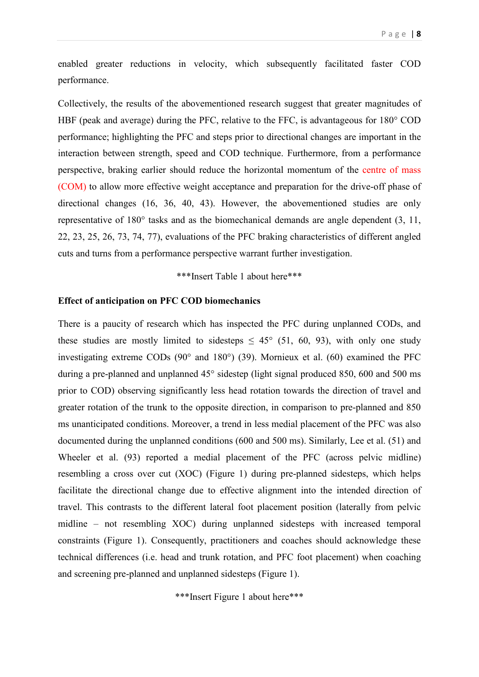enabled greater reductions in velocity, which subsequently facilitated faster COD performance.

Collectively, the results of the abovementioned research suggest that greater magnitudes of HBF (peak and average) during the PFC, relative to the FFC, is advantageous for 180° COD performance; highlighting the PFC and steps prior to directional changes are important in the interaction between strength, speed and COD technique. Furthermore, from a performance perspective, braking earlier should reduce the horizontal momentum of the centre of mass (COM) to allow more effective weight acceptance and preparation for the drive-off phase of directional changes (16, 36, 40, 43). However, the abovementioned studies are only representative of 180° tasks and as the biomechanical demands are angle dependent (3, 11, 22, 23, 25, 26, 73, 74, 77), evaluations of the PFC braking characteristics of different angled cuts and turns from a performance perspective warrant further investigation.

### \*\*\*Insert Table 1 about here\*\*\*

#### **Effect of anticipation on PFC COD biomechanics**

There is a paucity of research which has inspected the PFC during unplanned CODs, and these studies are mostly limited to sidesteps  $\leq 45^{\circ}$  (51, 60, 93), with only one study investigating extreme CODs (90° and 180°) (39). Mornieux et al. (60) examined the PFC during a pre-planned and unplanned 45° sidestep (light signal produced 850, 600 and 500 ms prior to COD) observing significantly less head rotation towards the direction of travel and greater rotation of the trunk to the opposite direction, in comparison to pre-planned and 850 ms unanticipated conditions. Moreover, a trend in less medial placement of the PFC was also documented during the unplanned conditions (600 and 500 ms). Similarly, Lee et al. (51) and Wheeler et al. (93) reported a medial placement of the PFC (across pelvic midline) resembling a cross over cut (XOC) (Figure 1) during pre-planned sidesteps, which helps facilitate the directional change due to effective alignment into the intended direction of travel. This contrasts to the different lateral foot placement position (laterally from pelvic midline – not resembling XOC) during unplanned sidesteps with increased temporal constraints (Figure 1). Consequently, practitioners and coaches should acknowledge these technical differences (i.e. head and trunk rotation, and PFC foot placement) when coaching and screening pre-planned and unplanned sidesteps (Figure 1).

\*\*\*Insert Figure 1 about here\*\*\*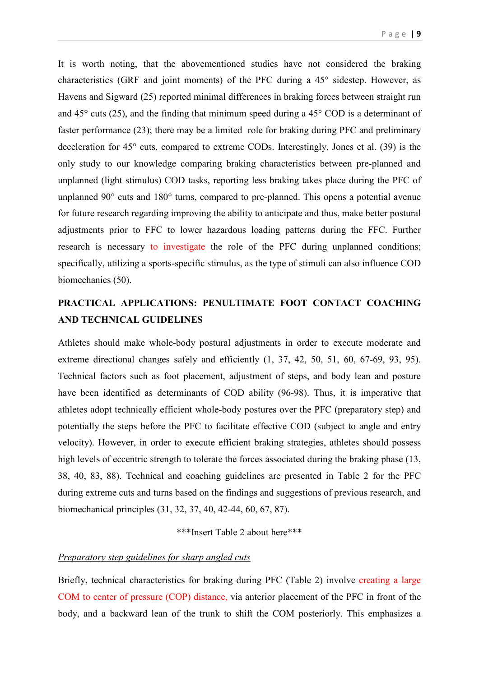It is worth noting, that the abovementioned studies have not considered the braking characteristics (GRF and joint moments) of the PFC during a 45° sidestep. However, as Havens and Sigward (25) reported minimal differences in braking forces between straight run and 45° cuts (25), and the finding that minimum speed during a 45° COD is a determinant of faster performance (23); there may be a limited role for braking during PFC and preliminary deceleration for 45° cuts, compared to extreme CODs. Interestingly, Jones et al. (39) is the only study to our knowledge comparing braking characteristics between pre-planned and unplanned (light stimulus) COD tasks, reporting less braking takes place during the PFC of unplanned 90° cuts and 180° turns, compared to pre-planned. This opens a potential avenue for future research regarding improving the ability to anticipate and thus, make better postural adjustments prior to FFC to lower hazardous loading patterns during the FFC. Further research is necessary to investigate the role of the PFC during unplanned conditions; specifically, utilizing a sports-specific stimulus, as the type of stimuli can also influence COD biomechanics (50).

# **PRACTICAL APPLICATIONS: PENULTIMATE FOOT CONTACT COACHING AND TECHNICAL GUIDELINES**

Athletes should make whole-body postural adjustments in order to execute moderate and extreme directional changes safely and efficiently  $(1, 37, 42, 50, 51, 60, 67-69, 93, 95)$ . Technical factors such as foot placement, adjustment of steps, and body lean and posture have been identified as determinants of COD ability (96-98). Thus, it is imperative that athletes adopt technically efficient whole-body postures over the PFC (preparatory step) and potentially the steps before the PFC to facilitate effective COD (subject to angle and entry velocity). However, in order to execute efficient braking strategies, athletes should possess high levels of eccentric strength to tolerate the forces associated during the braking phase (13, 38, 40, 83, 88). Technical and coaching guidelines are presented in Table 2 for the PFC during extreme cuts and turns based on the findings and suggestions of previous research, and biomechanical principles (31, 32, 37, 40, 42-44, 60, 67, 87).

\*\*\*Insert Table 2 about here\*\*\*

#### *Preparatory step guidelines for sharp angled cuts*

Briefly, technical characteristics for braking during PFC (Table 2) involve creating a large COM to center of pressure (COP) distance, via anterior placement of the PFC in front of the body, and a backward lean of the trunk to shift the COM posteriorly. This emphasizes a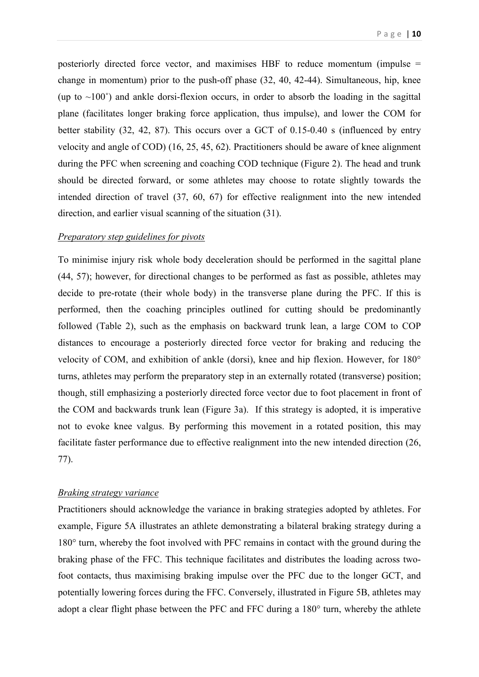posteriorly directed force vector, and maximises HBF to reduce momentum (impulse = change in momentum) prior to the push-off phase (32, 40, 42-44). Simultaneous, hip, knee (up to  $\sim$ 100 $^{\circ}$ ) and ankle dorsi-flexion occurs, in order to absorb the loading in the sagittal plane (facilitates longer braking force application, thus impulse), and lower the COM for better stability (32, 42, 87). This occurs over a GCT of 0.15-0.40 s (influenced by entry velocity and angle of COD) (16, 25, 45, 62). Practitioners should be aware of knee alignment during the PFC when screening and coaching COD technique (Figure 2). The head and trunk should be directed forward, or some athletes may choose to rotate slightly towards the intended direction of travel (37, 60, 67) for effective realignment into the new intended direction, and earlier visual scanning of the situation (31).

#### *Preparatory step guidelines for pivots*

To minimise injury risk whole body deceleration should be performed in the sagittal plane (44, 57); however, for directional changes to be performed as fast as possible, athletes may decide to pre-rotate (their whole body) in the transverse plane during the PFC. If this is performed, then the coaching principles outlined for cutting should be predominantly followed (Table 2), such as the emphasis on backward trunk lean, a large COM to COP distances to encourage a posteriorly directed force vector for braking and reducing the velocity of COM, and exhibition of ankle (dorsi), knee and hip flexion. However, for 180° turns, athletes may perform the preparatory step in an externally rotated (transverse) position; though, still emphasizing a posteriorly directed force vector due to foot placement in front of the COM and backwards trunk lean (Figure 3a). If this strategy is adopted, it is imperative not to evoke knee valgus. By performing this movement in a rotated position, this may facilitate faster performance due to effective realignment into the new intended direction (26, 77).

# *Braking strategy variance*

Practitioners should acknowledge the variance in braking strategies adopted by athletes. For example, Figure 5A illustrates an athlete demonstrating a bilateral braking strategy during a 180° turn, whereby the foot involved with PFC remains in contact with the ground during the braking phase of the FFC. This technique facilitates and distributes the loading across twofoot contacts, thus maximising braking impulse over the PFC due to the longer GCT, and potentially lowering forces during the FFC. Conversely, illustrated in Figure 5B, athletes may adopt a clear flight phase between the PFC and FFC during a 180° turn, whereby the athlete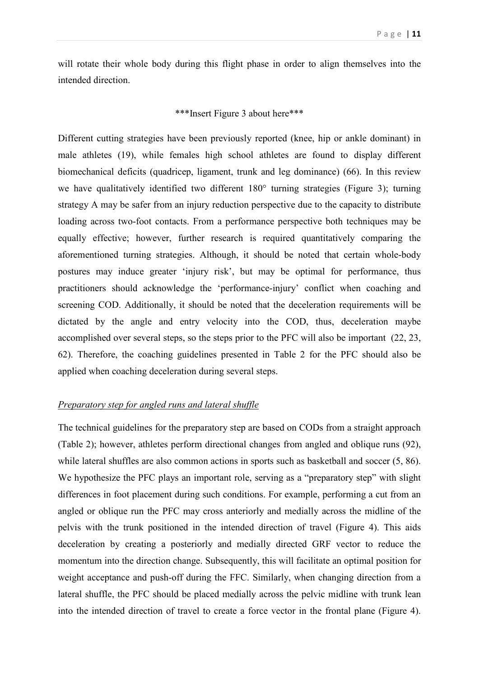will rotate their whole body during this flight phase in order to align themselves into the intended direction.

# \*\*\*Insert Figure 3 about here\*\*\*

Different cutting strategies have been previously reported (knee, hip or ankle dominant) in male athletes (19), while females high school athletes are found to display different biomechanical deficits (quadricep, ligament, trunk and leg dominance) (66). In this review we have qualitatively identified two different 180° turning strategies (Figure 3); turning strategy A may be safer from an injury reduction perspective due to the capacity to distribute loading across two-foot contacts. From a performance perspective both techniques may be equally effective; however, further research is required quantitatively comparing the aforementioned turning strategies. Although, it should be noted that certain whole-body postures may induce greater 'injury risk', but may be optimal for performance, thus practitioners should acknowledge the 'performance-injury' conflict when coaching and screening COD. Additionally, it should be noted that the deceleration requirements will be dictated by the angle and entry velocity into the COD, thus, deceleration maybe accomplished over several steps, so the steps prior to the PFC will also be important (22, 23, 62). Therefore, the coaching guidelines presented in Table 2 for the PFC should also be applied when coaching deceleration during several steps.

# *Preparatory step for angled runs and lateral shuffle*

The technical guidelines for the preparatory step are based on CODs from a straight approach (Table 2); however, athletes perform directional changes from angled and oblique runs (92), while lateral shuffles are also common actions in sports such as basketball and soccer (5, 86). We hypothesize the PFC plays an important role, serving as a "preparatory step" with slight differences in foot placement during such conditions. For example, performing a cut from an angled or oblique run the PFC may cross anteriorly and medially across the midline of the pelvis with the trunk positioned in the intended direction of travel (Figure 4). This aids deceleration by creating a posteriorly and medially directed GRF vector to reduce the momentum into the direction change. Subsequently, this will facilitate an optimal position for weight acceptance and push-off during the FFC. Similarly, when changing direction from a lateral shuffle, the PFC should be placed medially across the pelvic midline with trunk lean into the intended direction of travel to create a force vector in the frontal plane (Figure 4).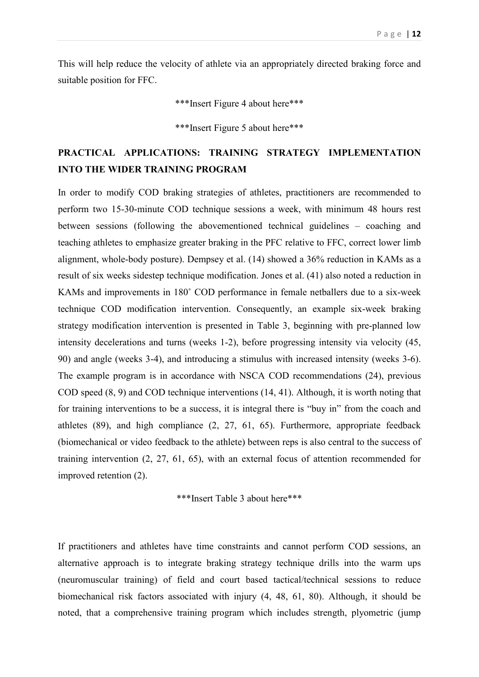This will help reduce the velocity of athlete via an appropriately directed braking force and suitable position for FFC.

\*\*\*Insert Figure 4 about here\*\*\*

\*\*\*Insert Figure 5 about here\*\*\*

# **PRACTICAL APPLICATIONS: TRAINING STRATEGY IMPLEMENTATION INTO THE WIDER TRAINING PROGRAM**

In order to modify COD braking strategies of athletes, practitioners are recommended to perform two 15-30-minute COD technique sessions a week, with minimum 48 hours rest between sessions (following the abovementioned technical guidelines – coaching and teaching athletes to emphasize greater braking in the PFC relative to FFC, correct lower limb alignment, whole-body posture). Dempsey et al. (14) showed a 36% reduction in KAMs as a result of six weeks sidestep technique modification. Jones et al. (41) also noted a reduction in KAMs and improvements in 180˚ COD performance in female netballers due to a six-week technique COD modification intervention. Consequently, an example six-week braking strategy modification intervention is presented in Table 3, beginning with pre-planned low intensity decelerations and turns (weeks 1-2), before progressing intensity via velocity (45, 90) and angle (weeks 3-4), and introducing a stimulus with increased intensity (weeks 3-6). The example program is in accordance with NSCA COD recommendations (24), previous COD speed (8, 9) and COD technique interventions (14, 41). Although, it is worth noting that for training interventions to be a success, it is integral there is "buy in" from the coach and athletes (89), and high compliance (2, 27, 61, 65). Furthermore, appropriate feedback (biomechanical or video feedback to the athlete) between reps is also central to the success of training intervention (2, 27, 61, 65), with an external focus of attention recommended for improved retention (2).

\*\*\*Insert Table 3 about here\*\*\*

If practitioners and athletes have time constraints and cannot perform COD sessions, an alternative approach is to integrate braking strategy technique drills into the warm ups (neuromuscular training) of field and court based tactical/technical sessions to reduce biomechanical risk factors associated with injury (4, 48, 61, 80). Although, it should be noted, that a comprehensive training program which includes strength, plyometric (jump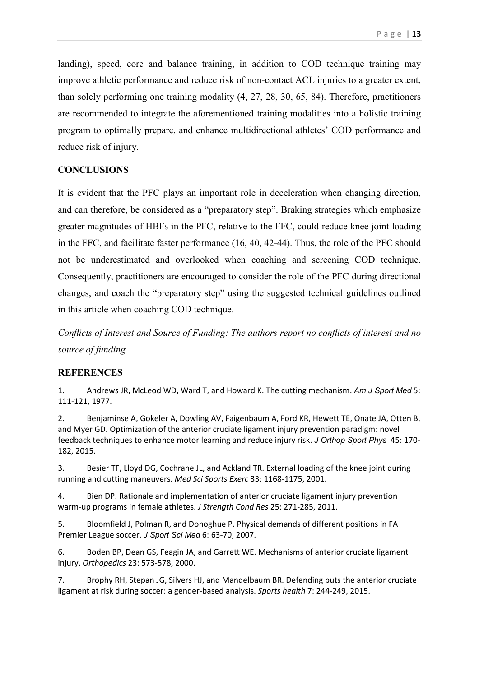landing), speed, core and balance training, in addition to COD technique training may improve athletic performance and reduce risk of non-contact ACL injuries to a greater extent, than solely performing one training modality (4, 27, 28, 30, 65, 84). Therefore, practitioners are recommended to integrate the aforementioned training modalities into a holistic training program to optimally prepare, and enhance multidirectional athletes' COD performance and reduce risk of injury.

# **CONCLUSIONS**

It is evident that the PFC plays an important role in deceleration when changing direction, and can therefore, be considered as a "preparatory step". Braking strategies which emphasize greater magnitudes of HBFs in the PFC, relative to the FFC, could reduce knee joint loading in the FFC, and facilitate faster performance (16, 40, 42-44). Thus, the role of the PFC should not be underestimated and overlooked when coaching and screening COD technique. Consequently, practitioners are encouraged to consider the role of the PFC during directional changes, and coach the "preparatory step" using the suggested technical guidelines outlined in this article when coaching COD technique.

*Conflicts of Interest and Source of Funding: The authors report no conflicts of interest and no source of funding.*

### **REFERENCES**

1. Andrews JR, McLeod WD, Ward T, and Howard K. The cutting mechanism. *Am J Sport Med* 5: 111-121, 1977.

2. Benjaminse A, Gokeler A, Dowling AV, Faigenbaum A, Ford KR, Hewett TE, Onate JA, Otten B, and Myer GD. Optimization of the anterior cruciate ligament injury prevention paradigm: novel feedback techniques to enhance motor learning and reduce injury risk. *J Orthop Sport Phys* 45: 170- 182, 2015.

3. Besier TF, Lloyd DG, Cochrane JL, and Ackland TR. External loading of the knee joint during running and cutting maneuvers. *Med Sci Sports Exerc* 33: 1168-1175, 2001.

4. Bien DP. Rationale and implementation of anterior cruciate ligament injury prevention warm-up programs in female athletes. *J Strength Cond Res* 25: 271-285, 2011.

5. Bloomfield J, Polman R, and Donoghue P. Physical demands of different positions in FA Premier League soccer. *J Sport Sci Med* 6: 63-70, 2007.

6. Boden BP, Dean GS, Feagin JA, and Garrett WE. Mechanisms of anterior cruciate ligament injury. *Orthopedics* 23: 573-578, 2000.

7. Brophy RH, Stepan JG, Silvers HJ, and Mandelbaum BR. Defending puts the anterior cruciate ligament at risk during soccer: a gender-based analysis. *Sports health* 7: 244-249, 2015.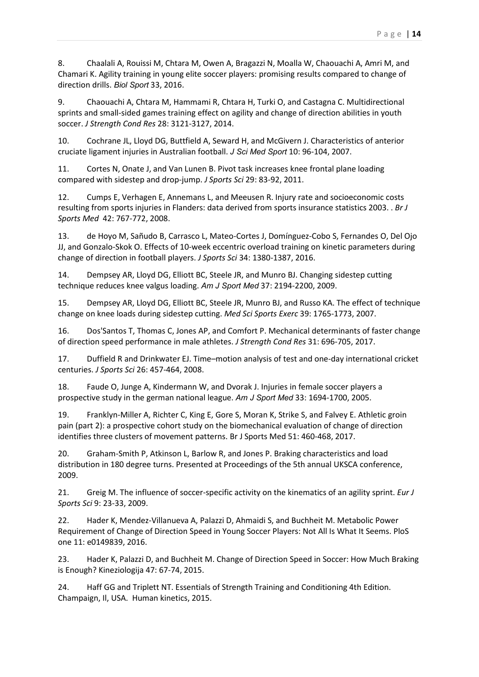8. Chaalali A, Rouissi M, Chtara M, Owen A, Bragazzi N, Moalla W, Chaouachi A, Amri M, and Chamari K. Agility training in young elite soccer players: promising results compared to change of direction drills. *Biol Sport* 33, 2016.

9. Chaouachi A, Chtara M, Hammami R, Chtara H, Turki O, and Castagna C. Multidirectional sprints and small-sided games training effect on agility and change of direction abilities in youth soccer. *J Strength Cond Res* 28: 3121-3127, 2014.

10. Cochrane JL, Lloyd DG, Buttfield A, Seward H, and McGivern J. Characteristics of anterior cruciate ligament injuries in Australian football. *J Sci Med Sport* 10: 96-104, 2007.

11. Cortes N, Onate J, and Van Lunen B. Pivot task increases knee frontal plane loading compared with sidestep and drop-jump. *J Sports Sci* 29: 83-92, 2011.

12. Cumps E, Verhagen E, Annemans L, and Meeusen R. Injury rate and socioeconomic costs resulting from sports injuries in Flanders: data derived from sports insurance statistics 2003. . *Br J Sports Med* 42: 767-772, 2008.

13. de Hoyo M, Sañudo B, Carrasco L, Mateo-Cortes J, Domínguez-Cobo S, Fernandes O, Del Ojo JJ, and Gonzalo-Skok O. Effects of 10-week eccentric overload training on kinetic parameters during change of direction in football players. *J Sports Sci* 34: 1380-1387, 2016.

14. Dempsey AR, Lloyd DG, Elliott BC, Steele JR, and Munro BJ. Changing sidestep cutting technique reduces knee valgus loading. *Am J Sport Med* 37: 2194-2200, 2009.

15. Dempsey AR, Lloyd DG, Elliott BC, Steele JR, Munro BJ, and Russo KA. The effect of technique change on knee loads during sidestep cutting. *Med Sci Sports Exerc* 39: 1765-1773, 2007.

16. Dos'Santos T, Thomas C, Jones AP, and Comfort P. Mechanical determinants of faster change of direction speed performance in male athletes. *J Strength Cond Res* 31: 696-705, 2017.

17. Duffield R and Drinkwater EJ. Time–motion analysis of test and one-day international cricket centuries. *J Sports Sci* 26: 457-464, 2008.

18. Faude O, Junge A, Kindermann W, and Dvorak J. Injuries in female soccer players a prospective study in the german national league. *Am J Sport Med* 33: 1694-1700, 2005.

19. Franklyn-Miller A, Richter C, King E, Gore S, Moran K, Strike S, and Falvey E. Athletic groin pain (part 2): a prospective cohort study on the biomechanical evaluation of change of direction identifies three clusters of movement patterns. Br J Sports Med 51: 460-468, 2017.

20. Graham-Smith P, Atkinson L, Barlow R, and Jones P. Braking characteristics and load distribution in 180 degree turns. Presented at Proceedings of the 5th annual UKSCA conference, 2009.

21. Greig M. The influence of soccer-specific activity on the kinematics of an agility sprint. *Eur J Sports Sci* 9: 23-33, 2009.

22. Hader K, Mendez-Villanueva A, Palazzi D, Ahmaidi S, and Buchheit M. Metabolic Power Requirement of Change of Direction Speed in Young Soccer Players: Not All Is What It Seems. PloS one 11: e0149839, 2016.

23. Hader K, Palazzi D, and Buchheit M. Change of Direction Speed in Soccer: How Much Braking is Enough? Kineziologija 47: 67-74, 2015.

24. Haff GG and Triplett NT. Essentials of Strength Training and Conditioning 4th Edition. Champaign, Il, USA. Human kinetics, 2015.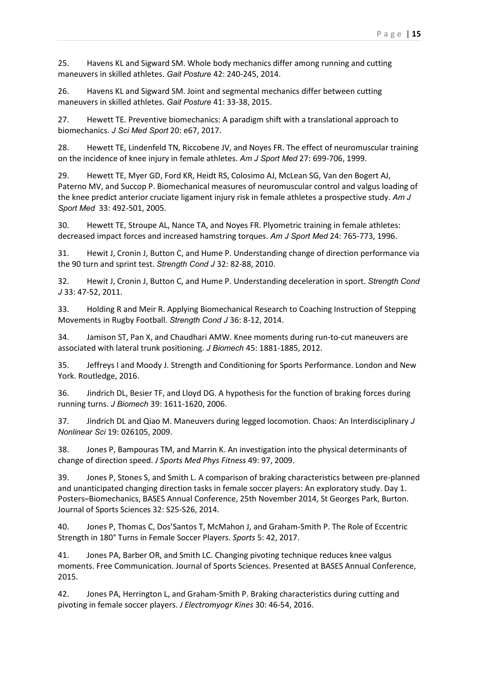25. Havens KL and Sigward SM. Whole body mechanics differ among running and cutting maneuvers in skilled athletes. *Gait Posture* 42: 240-245, 2014.

26. Havens KL and Sigward SM. Joint and segmental mechanics differ between cutting maneuvers in skilled athletes. *Gait Posture* 41: 33-38, 2015.

27. Hewett TE. Preventive biomechanics: A paradigm shift with a translational approach to biomechanics. *J Sci Med Sport* 20: e67, 2017.

28. Hewett TE, Lindenfeld TN, Riccobene JV, and Noyes FR. The effect of neuromuscular training on the incidence of knee injury in female athletes. *Am J Sport Med* 27: 699-706, 1999.

29. Hewett TE, Myer GD, Ford KR, Heidt RS, Colosimo AJ, McLean SG, Van den Bogert AJ, Paterno MV, and Succop P. Biomechanical measures of neuromuscular control and valgus loading of the knee predict anterior cruciate ligament injury risk in female athletes a prospective study. *Am J Sport Med* 33: 492-501, 2005.

30. Hewett TE, Stroupe AL, Nance TA, and Noyes FR. Plyometric training in female athletes: decreased impact forces and increased hamstring torques. *Am J Sport Med* 24: 765-773, 1996.

31. Hewit J, Cronin J, Button C, and Hume P. Understanding change of direction performance via the 90 turn and sprint test. *Strength Cond J* 32: 82-88, 2010.

32. Hewit J, Cronin J, Button C, and Hume P. Understanding deceleration in sport. *Strength Cond J* 33: 47-52, 2011.

33. Holding R and Meir R. Applying Biomechanical Research to Coaching Instruction of Stepping Movements in Rugby Football. *Strength Cond J* 36: 8-12, 2014.

34. Jamison ST, Pan X, and Chaudhari AMW. Knee moments during run-to-cut maneuvers are associated with lateral trunk positioning. *J Biomech* 45: 1881-1885, 2012.

35. Jeffreys I and Moody J. Strength and Conditioning for Sports Performance. London and New York. Routledge, 2016.

36. Jindrich DL, Besier TF, and Lloyd DG. A hypothesis for the function of braking forces during running turns. *J Biomech* 39: 1611-1620, 2006.

37. Jindrich DL and Qiao M. Maneuvers during legged locomotion. Chaos: An Interdisciplinary *J Nonlinear Sci* 19: 026105, 2009.

38. Jones P, Bampouras TM, and Marrin K. An investigation into the physical determinants of change of direction speed. *J Sports Med Phys Fitness* 49: 97, 2009.

39. Jones P, Stones S, and Smith L. A comparison of braking characteristics between pre-planned and unanticipated changing direction tasks in female soccer players: An exploratory study. Day 1. Posters–Biomechanics, BASES Annual Conference, 25th November 2014, St Georges Park, Burton. Journal of Sports Sciences 32: S25-S26, 2014.

40. Jones P, Thomas C, Dos'Santos T, McMahon J, and Graham-Smith P. The Role of Eccentric Strength in 180° Turns in Female Soccer Players. *Sports* 5: 42, 2017.

41. Jones PA, Barber OR, and Smith LC. Changing pivoting technique reduces knee valgus moments. Free Communication. Journal of Sports Sciences. Presented at BASES Annual Conference, 2015.

42. Jones PA, Herrington L, and Graham-Smith P. Braking characteristics during cutting and pivoting in female soccer players. *J Electromyogr Kines* 30: 46-54, 2016.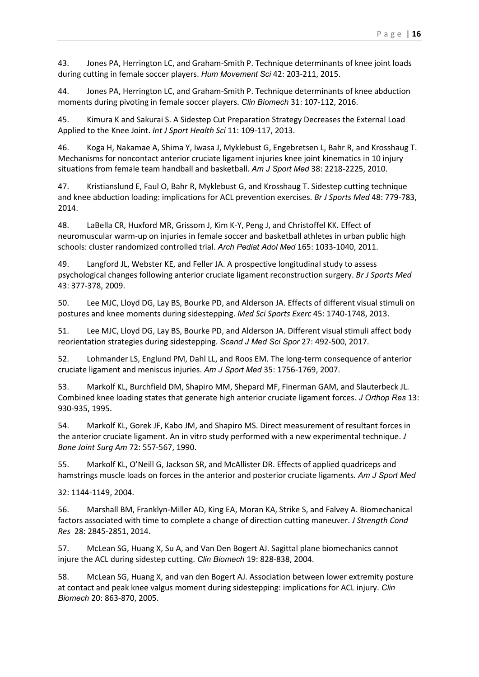43. Jones PA, Herrington LC, and Graham-Smith P. Technique determinants of knee joint loads during cutting in female soccer players. *Hum Movement Sci* 42: 203-211, 2015.

44. Jones PA, Herrington LC, and Graham-Smith P. Technique determinants of knee abduction moments during pivoting in female soccer players. *Clin Biomech* 31: 107-112, 2016.

45. Kimura K and Sakurai S. A Sidestep Cut Preparation Strategy Decreases the External Load Applied to the Knee Joint. *Int J Sport Health Sci* 11: 109-117, 2013.

46. Koga H, Nakamae A, Shima Y, Iwasa J, Myklebust G, Engebretsen L, Bahr R, and Krosshaug T. Mechanisms for noncontact anterior cruciate ligament injuries knee joint kinematics in 10 injury situations from female team handball and basketball. *Am J Sport Med* 38: 2218-2225, 2010.

47. Kristianslund E, Faul O, Bahr R, Myklebust G, and Krosshaug T. Sidestep cutting technique and knee abduction loading: implications for ACL prevention exercises. *Br J Sports Med* 48: 779-783, 2014.

48. LaBella CR, Huxford MR, Grissom J, Kim K-Y, Peng J, and Christoffel KK. Effect of neuromuscular warm-up on injuries in female soccer and basketball athletes in urban public high schools: cluster randomized controlled trial. *Arch Pediat Adol Med* 165: 1033-1040, 2011.

49. Langford JL, Webster KE, and Feller JA. A prospective longitudinal study to assess psychological changes following anterior cruciate ligament reconstruction surgery. *Br J Sports Med* 43: 377-378, 2009.

50. Lee MJC, Lloyd DG, Lay BS, Bourke PD, and Alderson JA. Effects of different visual stimuli on postures and knee moments during sidestepping. *Med Sci Sports Exerc* 45: 1740-1748, 2013.

51. Lee MJC, Lloyd DG, Lay BS, Bourke PD, and Alderson JA. Different visual stimuli affect body reorientation strategies during sidestepping. *Scand J Med Sci Spor* 27: 492-500, 2017.

52. Lohmander LS, Englund PM, Dahl LL, and Roos EM. The long-term consequence of anterior cruciate ligament and meniscus injuries. *Am J Sport Med* 35: 1756-1769, 2007.

53. Markolf KL, Burchfield DM, Shapiro MM, Shepard MF, Finerman GAM, and Slauterbeck JL. Combined knee loading states that generate high anterior cruciate ligament forces. *J Orthop Res* 13: 930-935, 1995.

54. Markolf KL, Gorek JF, Kabo JM, and Shapiro MS. Direct measurement of resultant forces in the anterior cruciate ligament. An in vitro study performed with a new experimental technique. *J Bone Joint Surg Am* 72: 557-567, 1990.

55. Markolf KL, O'Neill G, Jackson SR, and McAllister DR. Effects of applied quadriceps and hamstrings muscle loads on forces in the anterior and posterior cruciate ligaments. *Am J Sport Med*

32: 1144-1149, 2004.

56. Marshall BM, Franklyn-Miller AD, King EA, Moran KA, Strike S, and Falvey A. Biomechanical factors associated with time to complete a change of direction cutting maneuver. *J Strength Cond Res* 28: 2845-2851, 2014.

57. McLean SG, Huang X, Su A, and Van Den Bogert AJ. Sagittal plane biomechanics cannot injure the ACL during sidestep cutting. *Clin Biomech* 19: 828-838, 2004.

58. McLean SG, Huang X, and van den Bogert AJ. Association between lower extremity posture at contact and peak knee valgus moment during sidestepping: implications for ACL injury. *Clin Biomech* 20: 863-870, 2005.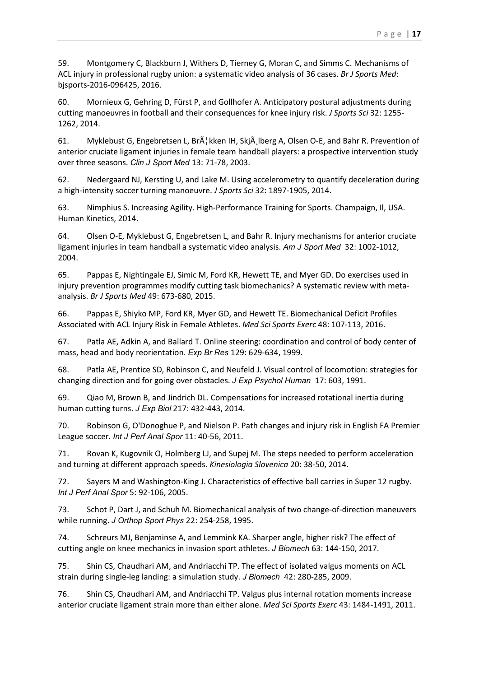59. Montgomery C, Blackburn J, Withers D, Tierney G, Moran C, and Simms C. Mechanisms of ACL injury in professional rugby union: a systematic video analysis of 36 cases. *Br J Sports Med*: bjsports-2016-096425, 2016.

60. Mornieux G, Gehring D, Fürst P, and Gollhofer A. Anticipatory postural adjustments during cutting manoeuvres in football and their consequences for knee injury risk. *J Sports Sci* 32: 1255- 1262, 2014.

61. Myklebust G, Engebretsen L, Br $\tilde{A}$  kken IH, Skj $\tilde{A}$ , Iberg A, Olsen O-E, and Bahr R. Prevention of anterior cruciate ligament injuries in female team handball players: a prospective intervention study over three seasons. *Clin J Sport Med* 13: 71-78, 2003.

62. Nedergaard NJ, Kersting U, and Lake M. Using accelerometry to quantify deceleration during a high-intensity soccer turning manoeuvre. *J Sports Sci* 32: 1897-1905, 2014.

63. Nimphius S. Increasing Agility. High-Performance Training for Sports. Champaign, Il, USA. Human Kinetics, 2014.

64. Olsen O-E, Myklebust G, Engebretsen L, and Bahr R. Injury mechanisms for anterior cruciate ligament injuries in team handball a systematic video analysis. *Am J Sport Med* 32: 1002-1012, 2004.

65. Pappas E, Nightingale EJ, Simic M, Ford KR, Hewett TE, and Myer GD. Do exercises used in injury prevention programmes modify cutting task biomechanics? A systematic review with metaanalysis. *Br J Sports Med* 49: 673-680, 2015.

66. Pappas E, Shiyko MP, Ford KR, Myer GD, and Hewett TE. Biomechanical Deficit Profiles Associated with ACL Injury Risk in Female Athletes. *Med Sci Sports Exerc* 48: 107-113, 2016.

67. Patla AE, Adkin A, and Ballard T. Online steering: coordination and control of body center of mass, head and body reorientation. *Exp Br Res* 129: 629-634, 1999.

68. Patla AE, Prentice SD, Robinson C, and Neufeld J. Visual control of locomotion: strategies for changing direction and for going over obstacles. *J Exp Psychol Human* 17: 603, 1991.

69. Qiao M, Brown B, and Jindrich DL. Compensations for increased rotational inertia during human cutting turns. *J Exp Biol* 217: 432-443, 2014.

70. Robinson G, O'Donoghue P, and Nielson P. Path changes and injury risk in English FA Premier League soccer. *Int J Perf Anal Spor* 11: 40-56, 2011.

71. Rovan K, Kugovnik O, Holmberg LJ, and Supej M. The steps needed to perform acceleration and turning at different approach speeds. *Kinesiologia Slovenica* 20: 38-50, 2014.

72. Sayers M and Washington-King J. Characteristics of effective ball carries in Super 12 rugby. *Int J Perf Anal Spor* 5: 92-106, 2005.

73. Schot P, Dart J, and Schuh M. Biomechanical analysis of two change-of-direction maneuvers while running. *J Orthop Sport Phys* 22: 254-258, 1995.

74. Schreurs MJ, Benjaminse A, and Lemmink KA. Sharper angle, higher risk? The effect of cutting angle on knee mechanics in invasion sport athletes. *J Biomech* 63: 144-150, 2017.

75. Shin CS, Chaudhari AM, and Andriacchi TP. The effect of isolated valgus moments on ACL strain during single-leg landing: a simulation study. *J Biomech* 42: 280-285, 2009.

76. Shin CS, Chaudhari AM, and Andriacchi TP. Valgus plus internal rotation moments increase anterior cruciate ligament strain more than either alone. *Med Sci Sports Exerc* 43: 1484-1491, 2011.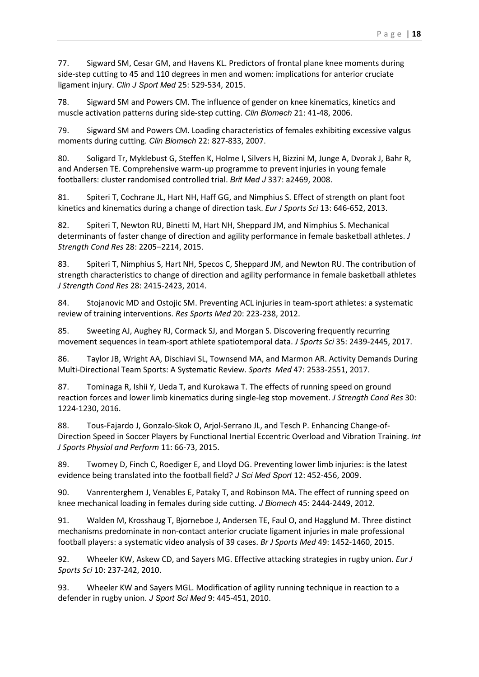77. Sigward SM, Cesar GM, and Havens KL. Predictors of frontal plane knee moments during side-step cutting to 45 and 110 degrees in men and women: implications for anterior cruciate ligament injury. *Clin J Sport Med* 25: 529-534, 2015.

78. Sigward SM and Powers CM. The influence of gender on knee kinematics, kinetics and muscle activation patterns during side-step cutting. *Clin Biomech* 21: 41-48, 2006.

79. Sigward SM and Powers CM. Loading characteristics of females exhibiting excessive valgus moments during cutting. *Clin Biomech* 22: 827-833, 2007.

80. Soligard Tr, Myklebust G, Steffen K, Holme I, Silvers H, Bizzini M, Junge A, Dvorak J, Bahr R, and Andersen TE. Comprehensive warm-up programme to prevent injuries in young female footballers: cluster randomised controlled trial. *Brit Med J* 337: a2469, 2008.

81. Spiteri T, Cochrane JL, Hart NH, Haff GG, and Nimphius S. Effect of strength on plant foot kinetics and kinematics during a change of direction task. *Eur J Sports Sci* 13: 646-652, 2013.

82. Spiteri T, Newton RU, Binetti M, Hart NH, Sheppard JM, and Nimphius S. Mechanical determinants of faster change of direction and agility performance in female basketball athletes. *J Strength Cond Res* 28: 2205–2214, 2015.

83. Spiteri T, Nimphius S, Hart NH, Specos C, Sheppard JM, and Newton RU. The contribution of strength characteristics to change of direction and agility performance in female basketball athletes *J Strength Cond Res* 28: 2415-2423, 2014.

84. Stojanovic MD and Ostojic SM. Preventing ACL injuries in team-sport athletes: a systematic review of training interventions. *Res Sports Med* 20: 223-238, 2012.

85. Sweeting AJ, Aughey RJ, Cormack SJ, and Morgan S. Discovering frequently recurring movement sequences in team-sport athlete spatiotemporal data. *J Sports Sci* 35: 2439-2445, 2017.

86. Taylor JB, Wright AA, Dischiavi SL, Townsend MA, and Marmon AR. Activity Demands During Multi-Directional Team Sports: A Systematic Review. *Sports Med* 47: 2533-2551, 2017.

87. Tominaga R, Ishii Y, Ueda T, and Kurokawa T. The effects of running speed on ground reaction forces and lower limb kinematics during single-leg stop movement. *J Strength Cond Res* 30: 1224-1230, 2016.

88. Tous-Fajardo J, Gonzalo-Skok O, Arjol-Serrano JL, and Tesch P. Enhancing Change-of-Direction Speed in Soccer Players by Functional Inertial Eccentric Overload and Vibration Training. *Int J Sports Physiol and Perform* 11: 66-73, 2015.

89. Twomey D, Finch C, Roediger E, and Lloyd DG. Preventing lower limb injuries: is the latest evidence being translated into the football field? *J Sci Med Sport* 12: 452-456, 2009.

90. Vanrenterghem J, Venables E, Pataky T, and Robinson MA. The effect of running speed on knee mechanical loading in females during side cutting. *J Biomech* 45: 2444-2449, 2012.

91. Walden M, Krosshaug T, Bjorneboe J, Andersen TE, Faul O, and Hagglund M. Three distinct mechanisms predominate in non-contact anterior cruciate ligament injuries in male professional football players: a systematic video analysis of 39 cases. *Br J Sports Med* 49: 1452-1460, 2015.

92. Wheeler KW, Askew CD, and Sayers MG. Effective attacking strategies in rugby union. *Eur J Sports Sci* 10: 237-242, 2010.

93. Wheeler KW and Sayers MGL. Modification of agility running technique in reaction to a defender in rugby union. *J Sport Sci Med* 9: 445-451, 2010.